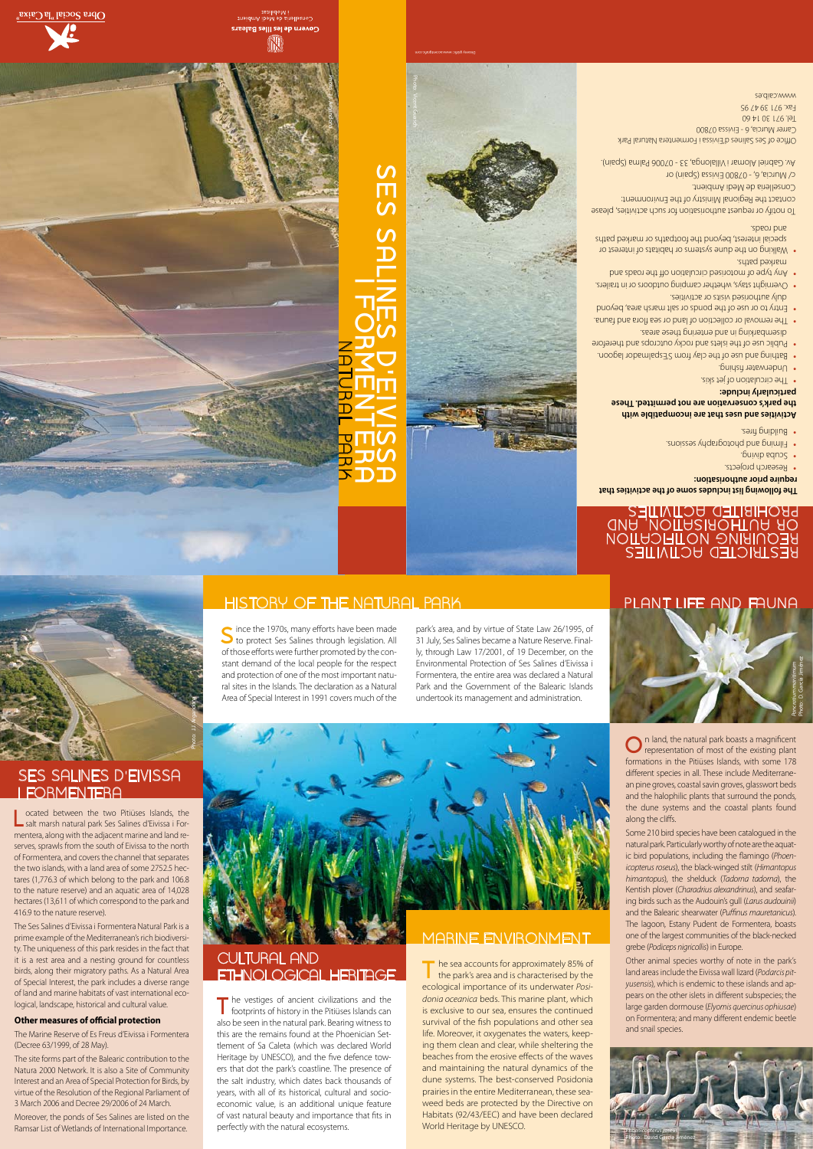**L** ocated between the two Pitiüses Islands, the salt marsh natural park Ses Salines d'Eivissa i Formentera, along with the adjacent marine and land reserves, sprawls from the south of Eivissa to the north of Formentera, and covers the channel that separates the two islands, with a land area of some 2752.5 hectares (1,776.3 of which belong to the park and 106.8 to the nature reserve) and an aquatic area of 14,028 hectares (13,611 of which correspond to the park and 416.9 to the nature reserve).



The Ses Salines d'Eivissa i Formentera Natural Park is a prime example of the Mediterranean's rich biodiversity. The uniqueness of this park resides in the fact that it is a rest area and a nesting ground for countless birds, along their migratory paths. As a Natural Area of Special Interest, the park includes a diverse range of land and marine habitats of vast international ecological, landscape, historical and cultural value.

#### **Other measures of official protection**

The Marine Reserve of Es Freus d'Eivissa i Formentera (Decree 63/1999, of 28 May).

The vestiges of ancient civilizations and the footprints of history in the Pitiüses Islands can also be seen in the natural park. Bearing witness to this are the remains found at the Phoenician Settlement of Sa Caleta (which was declared World Heritage by UNESCO), and the five defence towers that dot the park's coastline. The presence of the salt industry, which dates back thousands of years, with all of its historical, cultural and socioeconomic value, is an additional unique feature of vast natural beauty and importance that fits in perfectly with the natural ecosystems.

## CULTURAL AND **ETHNOLOGICAL HERITAGE** The sea accounts for approximately 85% of

The site forms part of the Balearic contribution to the Natura 2000 Network. It is also a Site of Community Interest and an Area of Special Protection for Birds, by virtue of the Resolution of the Regional Parliament of 3 March 2006 and Decree 29/2006 of 24 March.

Moreover, the ponds of Ses Salines are listed on the Ramsar List of Wetlands of International Importance.

Since the 1970s, many efforts have been made<br>
to protect Ses Salines through legislation. All of those efforts were further promoted by the constant demand of the local people for the respect and protection of one of the most important natural sites in the Islands. The declaration as a Natural Area of Special Interest in 1991 covers much of the

- **require prior authorisation:**
- Research projects.
- Scupa eduxe.
- Filming and photography sessions. •
- Building fires.
- · The circulation of jet skis.
- Underwater fishing. •
- Bathing and use of the clay from S'Espalmador lagoon. •
- Public use of the islets and rocky outcrops and therefore disembarking in and entering these areas.
- The removal or collection of land or sea flora and fauna. •
- Entry to or use of the ponds or salt marsh area, beyond •
- duly authorised visits or activities.
- Overnight stays, whether camping outdoors or in trailers. Any type of motorised circulation off the roads and •
- marked paths. Walking on the dune systems or habitats of interest or •
- special interest, beyond the footpaths or marked paths and roads.

the park's area and is characterised by the ecological importance of its underwater *Posidonia oceanica* beds. This marine plant, which is exclusive to our sea, ensures the continued survival of the fish populations and other sea life. Moreover, it oxygenates the waters, keeping them clean and clear, while sheltering the beaches from the erosive effects of the waves and maintaining the natural dynamics of the dune systems. The best-conserved Posidonia prairies in the entire Mediterranean, these seaweed beds are protected by the Directive on Habitats (92/43/EEC) and have been declared World Heritage by UNESCO.

**O**n land, the natural park boasts a magnificent representation of most of the existing plant formations in the Pitiüses Islands, with some 178 different species in all. These include Mediterranean pine groves, coastal savin groves, glasswort beds and the halophilic plants that surround the ponds, the dune systems and the coastal plants found

## MARINE ENVIRONMENT

park's area, and by virtue of State Law 26/1995, of 31 July, Ses Salines became a Nature Reserve. Finally, through Law 17/2001, of 19 December, on the Environmental Protection of Ses Salines d'Eivissa i Formentera, the entire area was declared a Natural Park and the Government of the Balearic Islands undertook its management and administration.



Photo: J.J. Argandoña

## SES SALINES D'EIVISSA I FORMENTERA

#### **The following list includes some of the activities that**

#### **Activities and uses that are incompatible with the park's conservation are not permitted. These particularly include:**

To notify or request authorisation for such activities, please contact the Regional Ministry of the Environment:

Conselleria de Medi Ambient.

c/ Murcia, 6, - 07800 Eivissa (Spain) or Av. Gabriel Alomar i Villalonga, 33 - 07006 Palma (Spain).

Photo: J.J. Argandoña

bM эb вnэllэгnoン<br>:ailidoM i

íN

Photo: Vicent Guasch

Office of Ses Salines d'Eivissa i Formentera Natural Park Carrer Murcia, 6 - Eivissa 07800 Tel. 971 30 14 60 Fax. 971 39 47 95 www.caib.es



Obra Social "la Caixa"

**SES SALINES D'EIVISSA**

 $\boldsymbol{\mathcal{C}}$ 

m<br>S

**I FORMENTERA**

NATURAL PARK

along the cliffs.

# HISTORY OF THE NATURAL PARK PLANT LIFE AND FAUNA

### RESIBICIED HCIJNIJES REQUIRING NOTIFICATION OR AUTHORISHATION, AND PROHIBITED ACTIVITES

Some 210 bird species have been catalogued in the natural park. Particularly worthy of note are the aquatic bird populations, including the flamingo (*Phoen-*

*icopterus roseus*), the black-winged stilt (*Himantopus himantopus*), the shelduck (*Tadorna tadorna*), the Kentish plover (*Charadrius alexandrinus*), and seafaring birds such as the Audouin's gull (*Larus audouinii*) and the Balearic shearwater (*Puffinus mauretanicus*). The lagoon, Estany Pudent de Formentera, boasts one of the largest communities of the black-necked grebe (*Podiceps nigricollis*) in Europe.

Other animal species worthy of note in the park's land areas include the Eivissa wall lizard (*Podarcis pityusensis*), which is endemic to these islands and appears on the other islets in different subspecies; the large garden dormouse (*Elyomis quercinus ophiusae*) on Formentera; and many different endemic beetle and snail species.





Disseny gràfic: www.accentgrafic.com